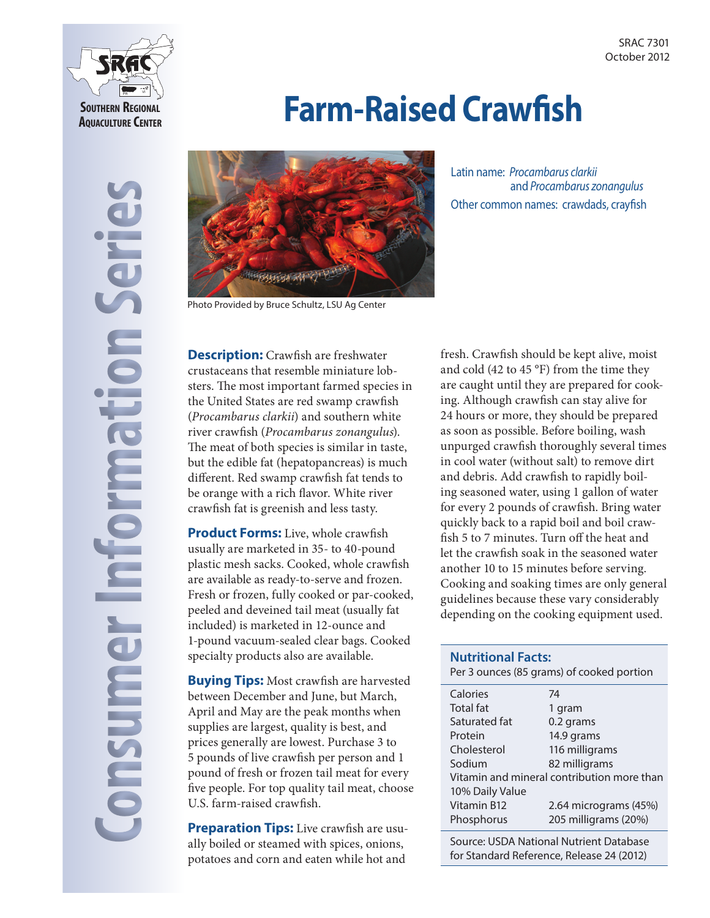

# **Farm-Raised Crawfish**



Photo Provided by Bruce Schultz, LSU Ag Center

Latin name: *Procambarus clarki*i and *Procambarus zonangulus*  Other common names: crawdads, crayfish

**Description:** Crawfish are freshwater crustaceans that resemble miniature lobsters. The most important farmed species in the United States are red swamp crawfish (*Procambarus clarkii*) and southern white river crawfish (*Procambarus zonangulus*). The meat of both species is similar in taste, but the edible fat (hepatopancreas) is much different. Red swamp crawfish fat tends to be orange with a rich flavor. White river crawfish fat is greenish and less tasty.

**Product Forms:** Live, whole crawfish usually are marketed in 35- to 40-pound plastic mesh sacks. Cooked, whole crawfish are available as ready-to-serve and frozen. Fresh or frozen, fully cooked or par-cooked, peeled and deveined tail meat (usually fat included) is marketed in 12-ounce and 1-pound vacuum-sealed clear bags. Cooked specialty products also are available.

**Buying Tips:** Most crawfish are harvested between December and June, but March, April and May are the peak months when supplies are largest, quality is best, and prices generally are lowest. Purchase 3 to 5 pounds of live crawfish per person and 1 pound of fresh or frozen tail meat for every five people. For top quality tail meat, choose U.S. farm-raised crawfish.

**Preparation Tips:** Live crawfish are usually boiled or steamed with spices, onions, potatoes and corn and eaten while hot and

fresh. Crawfish should be kept alive, moist and cold (42 to 45 °F) from the time they are caught until they are prepared for cooking. Although crawfish can stay alive for 24 hours or more, they should be prepared as soon as possible. Before boiling, wash unpurged crawfish thoroughly several times in cool water (without salt) to remove dirt and debris. Add crawfish to rapidly boiling seasoned water, using 1 gallon of water for every 2 pounds of crawfish. Bring water quickly back to a rapid boil and boil crawfish 5 to 7 minutes. Turn off the heat and let the crawfish soak in the seasoned water another 10 to 15 minutes before serving. Cooking and soaking times are only general guidelines because these vary considerably depending on the cooking equipment used.

## **Nutritional Facts:** Per 3 ounces (85 grams) of cooked portion Calories 74 Total fat 1 gram Saturated fat 0.2 grams Protein 14.9 grams Cholesterol 116 milligrams Sodium 82 milligrams Vitamin and mineral contribution more than 10% Daily Value Vitamin B12 2.64 micrograms (45%) Phosphorus 205 milligrams (20%)

Source: USDA National Nutrient Database for Standard Reference, Release 24 (2012)

**Consumer Information Series DIDSUR**